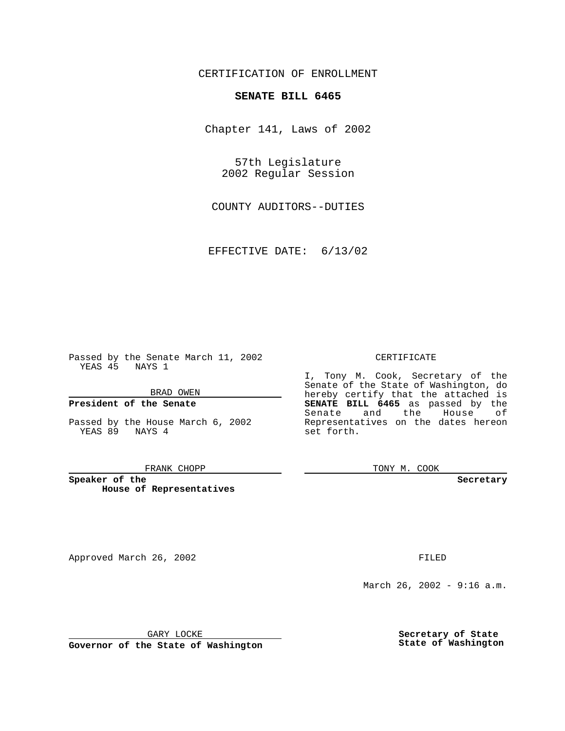## CERTIFICATION OF ENROLLMENT

# **SENATE BILL 6465**

Chapter 141, Laws of 2002

57th Legislature 2002 Regular Session

COUNTY AUDITORS--DUTIES

EFFECTIVE DATE: 6/13/02

Passed by the Senate March 11, 2002 YEAS 45 NAYS 1

#### BRAD OWEN

## **President of the Senate**

Passed by the House March 6, 2002 YEAS 89 NAYS 4

#### FRANK CHOPP

**Speaker of the House of Representatives**

Approved March 26, 2002 **FILED** 

#### CERTIFICATE

I, Tony M. Cook, Secretary of the Senate of the State of Washington, do hereby certify that the attached is **SENATE BILL 6465** as passed by the Senate and the House of Representatives on the dates hereon set forth.

TONY M. COOK

**Secretary**

March 26, 2002 - 9:16 a.m.

GARY LOCKE

**Governor of the State of Washington**

**Secretary of State State of Washington**